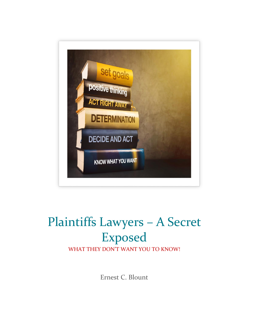

# Plaintiffs Lawyers – A Secret Exposed

WHAT THEY DON'T WANT YOU TO KNOW!

Ernest C. Blount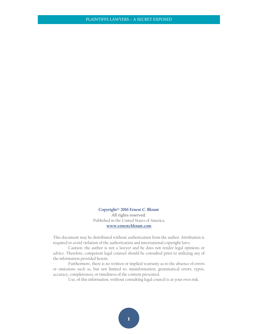**Copyright© 2016 Ernest C. Blount** All rights reserved. Published in the United States of America **[www.ernestcblount.com](http://www.ernestcblount.com/)**

This document may be distributed without authorization from the author. Attribution is required to avoid violation of the authorization and international copyright laws.

Caution: the author is not a lawyer and he does not render legal opinions or advice. Therefore, competent legal counsel should be consulted prior to utilizing any of the information provided herein.

Furthermore, there is no written or implied warranty as to the absence of errors or omissions such as, but not limited to, misinformation, grammatical errors, typos, accuracy, completeness, or timeliness of the content presented.

Use, of this information, without consulting legal council is at your own risk.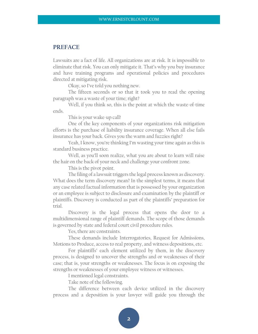# **PREFACE**

Lawsuits are a fact of life. All organizations are at risk. It is impossible to eliminate that risk. You can only mitigate it. That's why you buy insurance and have training programs and operational policies and procedures directed at mitigating risk.

Okay, so I've told you nothing new.

The fifteen seconds or so that it took you to read the opening paragraph was a waste of your time; right?

Well, if you think so, this is the point at which the waste-of-time ends.

This is your wake-up call!

One of the key components of your organizations risk mitigation efforts is the purchase of liability insurance coverage. When all else fails insurance has your back. Gives you the warm and fuzzies right?

Yeah, I know, you're thinking I'm wasting your time again as this is standard business practice.

Well, as you'll soon realize, what you are about to learn will raise the hair on the back of your neck and challenge your confront zone.

This is the pivot point.

The filing of a lawsuit triggers the legal process known as discovery. What does the term discovery mean? In the simplest terms, it means that any case related factual information that is possessed by your organization or an employee is subject to disclosure and examination by the plaintiff or plaintiffs. Discovery is conducted as part of the plaintiffs' preparation for trial.

Discovery is the legal process that opens the door to a multidimensional range of plaintiff demands. The scope of those demands is governed by state and federal court civil procedure rules.

Yes, there are constraints.

These demands include Interrogatories, Request for Admissions, Motions to Produce, access to real property, and witness depositions, etc.

For plaintiffs' each element utilized by them, in the discovery process, is designed to uncover the strengths and or weaknesses of their case; that is, your strengths or weaknesses. The focus is on exposing the strengths or weaknesses of your employee witness or witnesses.

I mentioned legal constraints.

Take note of the following.

The difference between each device utilized in the discovery process and a deposition is your lawyer will guide you through the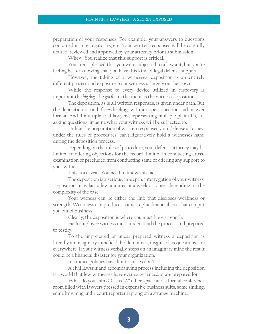preparation of your responses. For example, your answers to questions contained in Interrogatories, etc. Your written responses will be carefully crafted, reviewed and approved by your attorney prior to submission.

Whew! You realize that this support is critical.

You aren't pleased that you were subjected to a lawsuit, but you're feeling better knowing that you have this kind of legal defense support.

However, the taking of a witnesses' deposition is an entirely different process and exposure. Your witness is largely on their own.

While the response to every device utilized in discovery is important the *big dog*, the *gorilla* in the room, is the witness deposition.

The deposition, as is all written responses, is given under oath. But the deposition is oral, freewheeling, with an open question and answer format. And if multiple trial lawyers, representing multiple plaintiffs, are asking questions, imagine what your witness will be subjected to.

Unlike the preparation of written responses your defense attorney, under the rules of procedures, can't figuratively hold a witnesses hand during the deposition process.

Depending on the rules of procedure, your defense attorney may be limited to offering objections for the record, limited in conducting crossexamination or precluded from conducting same or offering any support to your witness.

This is a caveat. You need to know this fact.

The deposition is a serious, in-depth, interrogation of your witness. Depositions may last a few minutes or a week or longer depending on the complexity of the case.

Your witness can be either the link that discloses weakness or strength. Weakness can produce a catastrophic financial loss that can put you out of business.

Clearly, the deposition is where you must have strength.

Each employee witness must understand the process and prepared to testify.

To the unprepared or under prepared witness a deposition is literally an imaginary minefield; hidden mines, disguised as questions, are everywhere. If your witness verbally steps on an imaginary mine the result could be a financial disaster for your organization.

Insurance policies have limits…juries don't!

A civil lawsuit and accompanying process including the deposition is a world that few witnesses have ever experienced or are prepared for.

What do you think? Class "A" office space and a formal conference room filled with lawyers dressed in expensive business suits, some smiling, some frowning and a court reporter tapping on a strange machine.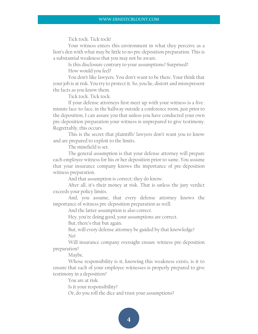Tick tock. Tick tock!

Your witness enters this environment in what they perceive as a lion's den with what may be little to no pre-deposition preparation. This is a substantial weakness that you may not be aware.

Is this disclosure contrary to your assumptions? Surprised? How would you feel?

You don't like lawyers. You don't want to be there. Your think that your job is at risk. You try to protect it. So, you lie, distort and misrepresent the facts as you know them.

Tick tock. Tick tock.

If your defense attorneys first meet up with your witness is a fiveminute face-to-face, in the hallway outside a conference room, just prior to the deposition, I can assure you that unless you have conducted your own pre-deposition preparation your witness is unprepared to give testimony. Regrettably, this occurs.

This is the secret that plaintiffs' lawyers don't want you to know and are prepared to exploit to the limits.

The minefield is set.

The general assumption is that your defense attorney will prepare each employee witness for his or her deposition prior to same. You assume that your insurance company knows the importance of pre-deposition witness preparation.

And that assumption is correct; they do know.

After all, it's their money at risk. That is unless the jury verdict exceeds your policy limits.

And, you assume, that every defense attorney knows the importance of witness pre-deposition preparation as well.

And the latter assumption is also correct.

Hey, you're doing good, your assumptions are correct.

But, there's that but again.

But, will every defense attorney be guided by that knowledge? No!

Will insurance company oversight ensure witness pre-deposition preparation?

Maybe.

Whose responsibility is it, knowing this weakness exists, is it to ensure that each of your employee witnesses is properly prepared to give testimony in a deposition?

You are at risk.

Is it your responsibility?

Or, do you roll the dice and trust your assumptions?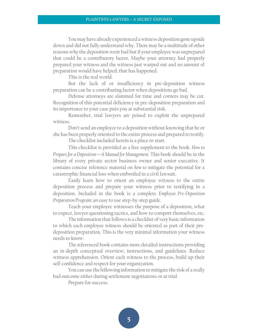You may have already experienced a witness deposition gone upside down and did not fully understand why. There may be a multitude of other reasons why the deposition went bad but if your employee was unprepared that could be a contributory factor. Maybe your attorney had properly prepared your witness and the witness just warped out and no amount of preparation would have helped; that has happened.

This is the real world.

But the lack of or insufficiency in pre-deposition witness preparation can be a contributing factor when depositions go bad.

Defense attorneys are slammed for time and corners may be cut. Recognition of this potential deficiency in pre-deposition preparation and its importance to your case puts you at substantial risk.

Remember, trial lawyers are poised to exploit the unprepared witness.

Don't send an employee to a deposition without knowing that he or she has been properly oriented to the entire process and prepared to testify.

The checklist included herein is a place to start.

This checklist is provided as a free supplement to the book: *How to Prepare for a Deposition—A Manual for Management.* This book should be in the library of every private sector business owner and senior executive. It contains concise reference material on *how to* mitigate the potential for a catastrophic financial loss when embroiled in a civil lawsuit.

Easily learn how to orient an employee witness to the entire deposition process and prepare your witness prior to testifying in a deposition. Included in the book is a complete *Employee Pre-Deposition Preparation Program;* an easy to use step-by-step guide.

Teach your employee witnesses the purpose of a deposition, what to expect, lawyer questioning tactics, and how to comport themselves, etc.

The information that follows is a checklist of very basic information to which each employee witness should be oriented as part of their predeposition preparation. This is the very minimal information your witness needs to know.

The referenced book contains more detailed instructions providing an in-depth conceptual overview, instructions, and guidelines. Reduce witness apprehension. Orient each witness to the process, build up their self-confidence and respect for your organization.

You can use the following information to mitigate the risk of a really bad outcome either during settlement negotiations or at trial.

Prepare for success.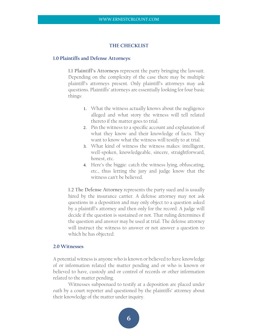#### **THE CHECKLIST**

## **1.0 Plaintiffs and Defense Attorneys**:

**1.1 Plaintiff's Attorneys** represent the party bringing the lawsuit. Depending on the complexity of the case there may be multiple plaintiff's attorneys present. Only plaintiff's attorneys may ask questions. Plaintiffs' attorneys are essentially looking for four basic things:

- 1. What the witness actually knows about the negligence alleged and what story the witness will tell related thereto if the matter goes to trial.
- 2. Pin the witness to a specific account and explanation of what they know and their knowledge of facts. They want to know what the witness will testify to at trial.
- 3. What kind of witness the witness makes: intelligent, well-spoken, knowledgeable, sincere, straightforward, honest, etc.
- 4. Here's the biggie: catch the witness lying, obfuscating, etc., thus letting the jury and judge know that the witness can't be believed.

**1.2 The Defense Attorney** represents the party sued and is usually hired by the insurance carrier. A defense attorney may not ask questions in a deposition and may only object to a question asked by a plaintiff's attorney and then only for the record. A judge will decide if the question is sustained or not. That ruling determines if the question and answer may be used at trial. The defense attorney will instruct the witness to answer or not answer a question to which he has objected.

# **2.0 Witnesses**

A potential witness is anyone who is known or believed to have knowledge of or information related the matter pending and or who is known or believed to have, custody and or control of records or other information related to the matter pending.

Witnesses subpoenaed to testify at a deposition are placed under oath by a court reporter and questioned by the plaintiffs' attorney about their knowledge of the matter under inquiry.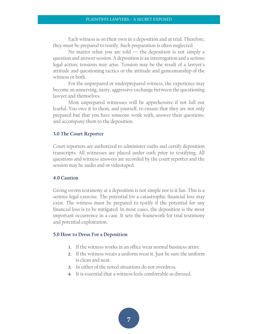Each witness is on their own in a deposition and at trial. Therefore, they must be prepared to testify. Such preparation is often neglected.

No matter what you are told  $-$  the deposition is not simply a question and answer session. A deposition is an interrogation and a serious legal action; tensions may arise. Tension may be the result of a lawyer's attitude and questioning tactics or the attitude and gamesmanship of the witness or both.

For the unprepared or underprepared witness, the experience may become an unnerving, nasty, aggressive exchange between the questioning lawyer and themselves.

Most unprepared witnesses will be apprehensive if not full out fearful. You owe it to them, and yourself, to ensure that they are not only prepared but that you have someone work with, answer their questions, and accompany them to the deposition.

#### **3.0 The Court Reporter**

Court reporters are authorized to administer oaths and certify deposition transcripts. All witnesses are placed under oath prior to testifying. All questions and witness answers are recorded by the court reporter and the session may be audio and or videotaped.

#### **4.0 Caution**

Giving sworn testimony at a deposition is not simple nor is it fun. This is a serious legal exercise. The potential for a catastrophic financial loss may exist. The witness must be prepared to testify if the potential for any financial loss is to be mitigated. In most cases, the deposition is the most important occurrence in a case. It sets the framework for trial testimony and potential exploitation.

#### **5.0 How to Dress For a Deposition**

- 1. If the witness works in an office wear normal business attire.
- 2. If the witness wears a uniform wear it. Just be sure the uniform is clean and neat.
- 3. In either of the noted situations do not overdress.
- 4. It is essential that a witness feels comfortable as dressed.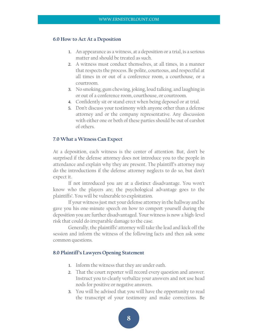#### **6.0 How to Act At a Deposition**

- 1. An appearance as a witness, at a deposition or a trial, is a serious matter and should be treated as such.
- 2. A witness must conduct themselves, at all times, in a manner that respects the process. Be polite, courteous, and respectful at all times in or out of a conference room, a courthouse, or a courtroom.
- 3. No smoking, gum chewing, joking, loud talking, and laughing in or out of a conference room, courthouse, or courtroom.
- 4. Confidently sit or stand erect when being deposed or at trial.
- 5. Don't discuss your testimony with anyone other than a defense attorney and or the company representative. Any discussion with either one or both of these parties should be out of earshot of others.

### **7.0 What a Witness Can Expect**

At a deposition, each witness is the center of attention. But, don't be surprised if the defense attorney does not introduce you to the people in attendance and explain why they are present. The plaintiff's attorney may do the introductions if the defense attorney neglects to do so, but don't expect it.

If not introduced you are at a distinct disadvantage. You won't know who the players are; the psychological advantage goes to the plaintiffs'. You will be vulnerable to exploitation.

If your witness just met your defense attorney in the hallway and he gave you his one-minute speech on how to comport yourself during the deposition you are further disadvantaged. Your witness is now a high-level risk that could do irreparable damage to the case.

Generally, the plaintiffs' attorney will take the lead and kick off the session and inform the witness of the following facts and then ask some common questions.

#### **8.0 Plaintiff's Lawyers Opening Statement**

- 1. Inform the witness that they are under oath.
- 2. That the court reporter will record every question and answer. Instruct you to clearly verbalize your answers and not use head nods for positive or negative answers.
- 3. You will be advised that you will have the opportunity to read the transcript of your testimony and make corrections. Be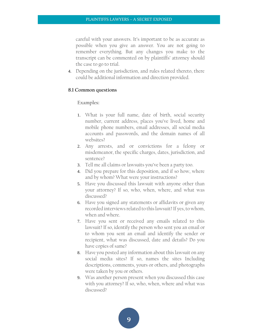careful with your answers. It's important to be as accurate as possible when you give an answer. You are not going to remember everything. But any changes you make to the transcript can be commented on by plaintiffs' attorney should the case to go to trial.

4. Depending on the jurisdiction, and rules related thereto, there could be additional information and direction provided.

# **8.1 Common questions**

#### **Examples:**

- 1. What is your full name, date of birth, social security number, current address, places you've lived, home and mobile phone numbers, email addresses, all social media accounts and passwords, and the domain names of all websites?
- 2. Any arrests, and or convictions for a felony or misdemeanor, the specific charges, dates, jurisdiction, and sentence?
- 3. Tell me all claims or lawsuits you've been a party too.
- 4. Did you prepare for this deposition, and if so how, where and by whom? What were your instructions?
- 5. Have you discussed this lawsuit with anyone other than your attorney? If so, who, when, where, and what was discussed?
- 6. Have you signed any statements or affidavits or given any recorded interviews related to this lawsuit? If yes, to whom, when and where.
- 7. Have you sent or received any emails related to this lawsuit? If so, identify the person who sent you an email or to whom you sent an email and identify the sender or recipient, what was discussed, date and details? Do you have copies of same?
- 8. Have you posted any information about this lawsuit on any social media sites? If so, names the sites Including descriptions, comments, yours or others, and photographs were taken by you or others.
- 9. Was another person present when you discussed this case with you attorney? If so, who, when, where and what was discussed?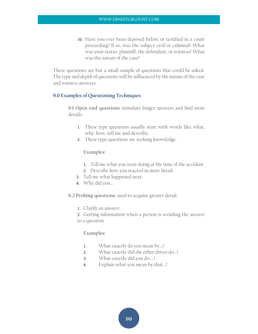10. Have you ever been deposed before or testified in a court proceeding? If so, was the subject civil or criminal? What was your status: plaintiff, the defendant, or witness? What was the nature of the case?

These questions are but a small sample of questions that could be asked. The type and depth of questions will be influenced by the nature of the case and witness answers.

# **9.0 Examples of Questioning Techniques**

**9.1 Open-end questions** stimulate longer answers and find more details:

- 1. These type questions usually start with words like what, why, how, tell me and describe.
- 2. These type questions are seeking knowledge.

# **Examples:**

- 1. Tell me what you were doing at the time of the accident.
- 2. Describe how you reacted in more detail.
- 3. Tell me what happened next.
- 4. Why did you…

# **9.2 Probing questions:** used to acquire greater detail:

- 1. Clarify an answer.
- 2. Getting information when a person is avoiding the answer to a question.

# **Examples:**

- 1. What exactly do you mean by…?
- 2. What exactly did the other driver do...?
- 3. What exactly did you do….?
- 4. Explain what you mean by that…?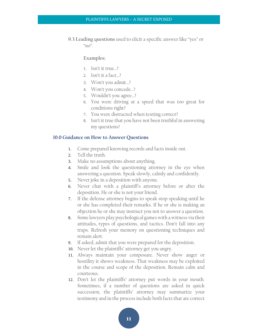**9.3 Leading questions** used to elicit a specific answer like "yes" or  $\mu$ "no".

# **Examples:**

- 1. Isn't it true…?
- 2. Isn't it a fact…?
- 3. Won't you admit…?
- 4. Won't you concede…?
- 5. Wouldn't you agree…?
- 6. You were driving at a speed that was too great for conditions right?
- 7. You were distracted when texting correct?
- 8. Isn't it true that you have not been truthful in answering my questions?

#### **10.0 Guidance on How to Answer Questions**

- 1. Come prepared knowing records and facts inside out.
- 2. Tell the truth.
- 3. Make no assumptions about anything.
- 4. Smile and look the questioning attorney in the eye when answering a question. Speak slowly, calmly and confidently.
- 5. Never joke in a deposition with anyone.
- 6. Never chat with a plaintiff's attorney before or after the deposition. He or she is not your friend.
- 7. If the defense attorney begins to speak stop speaking until he or she has completed their remarks. If he or she is making an objection he or she may instruct you not to answer a question.
- 8. Some lawyers play psychological games with a witness via their attitudes, types of questions, and tactics. Don't fall into any traps. Refresh your memory on questioning techniques and remain alert.
- 9. If asked, admit that you were prepared for the deposition.
- 10. Never let the plaintiffs' attorney get you angry.
- 11. Always maintain your composure. Never show anger or hostility it shows weakness. That weakness may be exploited in the course and scope of the deposition. Remain calm and courteous.
- 12. Don't let the plaintiffs' attorney put words in your mouth. Sometimes, if a number of questions are asked in quick succession, the plaintiffs' attorney may summarize your testimony and in the process include both facts that are correct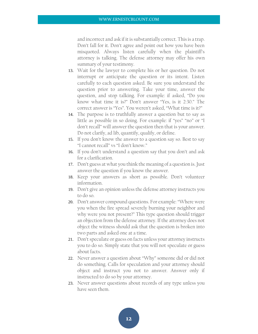and incorrect and ask if it is substantially correct. This is a trap. Don't fall for it. Don't agree and point out how you have been misquoted. Always listen carefully when the plaintiff's attorney is talking. The defense attorney may offer his own summary of your testimony.

- 13. Wait for the lawyer to complete his or her question. Do not interrupt or anticipate the question or its intent. Listen carefully to each question asked. Be sure you understand the question prior to answering. Take your time, answer the question, and stop talking. For example: if asked, "Do you know what time it is?" Don't answer "Yes, is it 2:30." The correct answer is "Yes". You weren't asked, "What time is it?"
- 14. The purpose is to truthfully answer a question but to say as little as possible in so doing. For example: if "yes" "no" or "I don't recall" will answer the question then that is your answer. Do not clarify, ad lib, quantify, qualify, or define.
- 15. If you don't know the answer to a question say so. Best to say "I cannot recall" vs "I don't know."
- 16. If you don't understand a question say that you don't and ask for a clarification.
- 17. Don't guess at what you think the meaning of a question is. Just answer the question if you know the answer.
- 18. Keep your answers as short as possible. Don't volunteer information.
- 19. Don't give an opinion unless the defense attorney instructs you to do so.
- 20. Don't answer compound questions. For example: "Where were you when the fire spread severely burning your neighbor and why were you not present?" This type question should trigger an objection from the defense attorney. If the attorney does not object the witness should ask that the question is broken into two parts and asked one at a time.
- 21. Don't speculate or guess on facts unless your attorney instructs you to do so. Simply state that you will not speculate or guess about facts.
- 22. Never answer a question about "Why" someone did or did not do something. Calls for speculation and your attorney should object and instruct you not to answer. Answer only if instructed to do so by your attorney.
- 23. Never answer questions about records of any type unless you have seen them.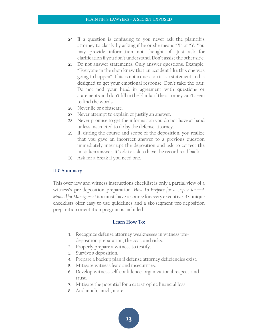- 24. If a question is confusing to you never ask the plaintiff's attorney to clarify by asking if he or she means "X" or "Y. You may provide information not thought of. Just ask for clarification if you don't understand. Don't assist the other side.
- 25. Do not answer statements. Only answer questions. Example: "Everyone in the shop knew that an accident like this one was going to happen". This is not a question it is a statement and is designed to get your emotional response. Don't take the bait. Do not nod your head in agreement with questions or statements and don't fill in the blanks if the attorney can't seem to find the words.
- 26. Never lie or obfuscate.
- 27. Never attempt to explain or justify an answer.
- 28. Never promise to get the information you do not have at hand unless instructed to do by the defense attorney.
- 29. If, during the course and scope of the deposition, you realize that you gave an incorrect answer to a previous question immediately interrupt the deposition and ask to correct the mistaken answer. It's ok to ask to have the record read back.
- 30. Ask for a break if you need one.

# **11.0 Summary**

This overview and witness instructions checklist is only a partial view of a witness's pre-deposition preparation. *How To Prepare for a Deposition—A Manual for Management* is a must-have resource for every executive. 43 unique checklists offer easy-to-use guidelines and a six-segment pre-deposition preparation orientation program is included.

# **Learn How To:**

- 1. Recognize defense attorney weaknesses in witness predeposition preparation, the cost, and risks.
- 2. Properly prepare a witness to testify.
- 3. Survive a deposition.
- 4. Prepare a backup plan if defense attorney deficiencies exist.
- 5. Mitigate witness fears and insecurities.
- 6. Develop witness self-confidence, organizational respect, and trust.
- 7. Mitigate the potential for a catastrophic financial loss.
- 8. And much, much, more…